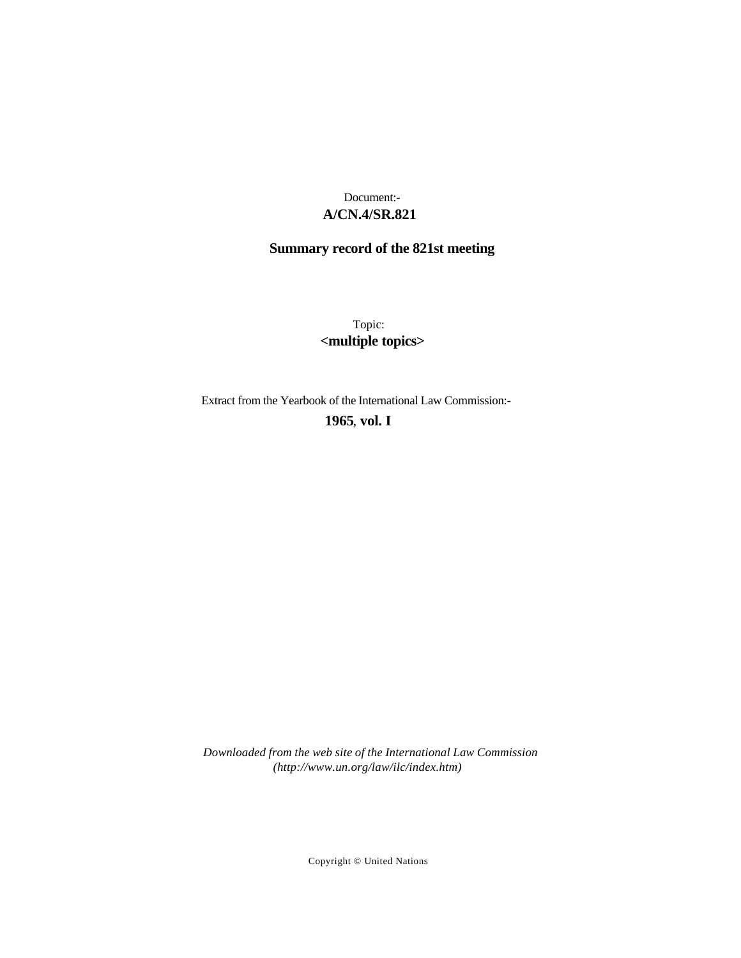# **A/CN.4/SR.821** Document:-

# **Summary record of the 821st meeting**

Topic: **<multiple topics>**

Extract from the Yearbook of the International Law Commission:-

**1965** , **vol. I**

*Downloaded from the web site of the International Law Commission (http://www.un.org/law/ilc/index.htm)*

Copyright © United Nations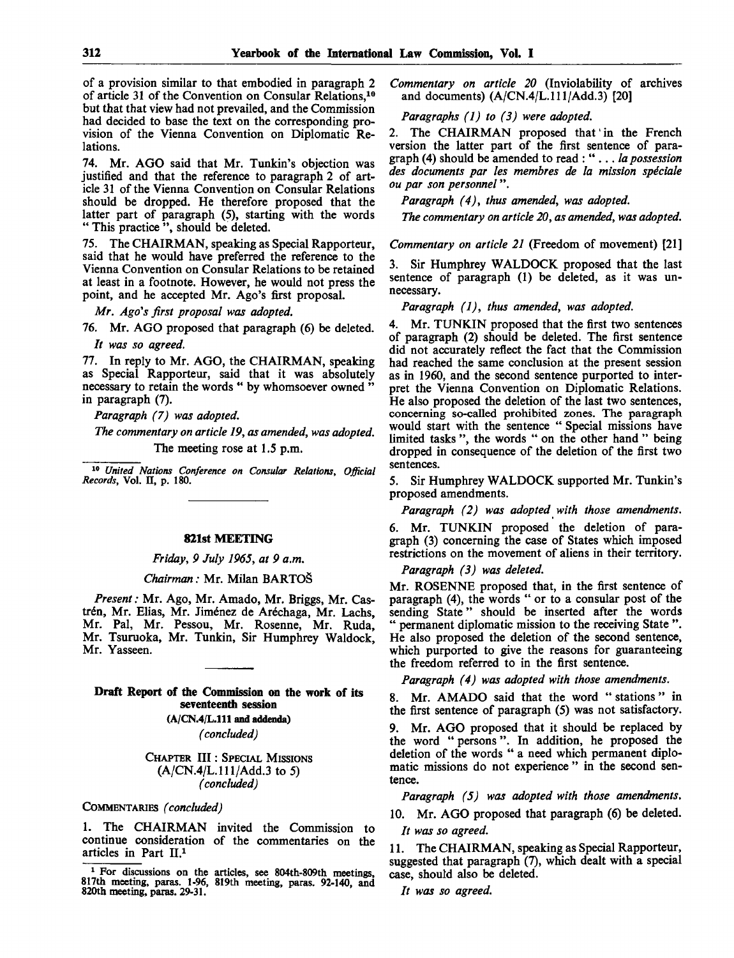of a provision similar to that embodied in paragraph 2 of article 31 of the Convention on Consular Relations,<sup>10</sup> but that that view had not prevailed, and the Commission had decided to base the text on the corresponding provision of the Vienna Convention on Diplomatic Relations.

74. Mr. AGO said that Mr. Tunkin's objection was justified and that the reference to paragraph 2 of article 31 of the Vienna Convention on Consular Relations should be dropped. He therefore proposed that the latter part of paragraph (5), starting with the words " This practice", should be deleted.

75. The CHAIRMAN, speaking as Special Rapporteur, said that he would have preferred the reference to the Vienna Convention on Consular Relations to be retained at least in a footnote. However, he would not press the point, and he accepted Mr. Ago's first proposal.

*Mr. Ago's first proposal was adopted.*

76. Mr. AGO proposed that paragraph (6) be deleted. *It was so agreed.*

77. In reply to Mr. AGO, the CHAIRMAN, speaking as Special Rapporteur, said that it was absolutely necessary to retain the words " by whomsoever owned " in paragraph (7).

*Paragraph (7) was adopted.*

*The commentary on article 19, as amended, was adopted.* The meeting rose at 1.5 p.m.

10  *United Nations Conference on Consular Relations, Official Records,* Vol. H, p. 180.

#### **821st MEETING**

*Friday, 9 July 1965, at 9 a.m.*

#### *Chairman:* Mr. Milan BARTOS

*Present:* Mr. Ago, Mr. Amado, Mr. Briggs, Mr. Castrén, Mr. Elias, Mr. Jiménez de Aréchaga, Mr. Lachs, Mr. Pal, Mr. Pessou, Mr. Rosenne, Mr. Ruda, Mr. Tsuruoka, Mr. Tunkin, Sir Humphrey Waldock, Mr. Yasseen.

#### **Draft Report of the Commission on the work of its seventeenth session**

**(A/CN.4/L.111 and addenda)** *(concluded)*

CHAPTER III: SPECIAL MISSIONS  $(A/CN.4/L.111/Add.3 \text{ to } 5)$ *(concluded)*

#### COMMENTARIES *(concluded)*

1. The CHAIRMAN invited the Commission to continue consideration of the commentaries on the articles in Part II.<sup>1</sup>

*Commentary on article 20* (Inviolability of archives and documents)  $(A/CN.4/L.111/Add.3)$  [20]

## *Paragraphs (1) to (3) were adopted.*

2. The CHAIRMAN proposed that in the French version the latter part of the first sentence of paragraph (4) should be amended to read : " .. . *la possession des documents par les membres de la mission speciale ou par son personnel*".

*Paragraph (4), thus amended, was adopted.*

*The commentary on article 20, as amended, was adopted.*

*Commentary on article 21* (Freedom of movement) [21]

3. Sir Humphrey WALDOCK proposed that the last sentence of paragraph (1) be deleted, as it was unnecessary.

*Paragraph (1), thus amended, was adopted.*

4. Mr. TUNKIN proposed that the first two sentences of paragraph (2) should be deleted. The first sentence did not accurately reflect the fact that the Commission had reached the same conclusion at the present session as in 1960, and the second sentence purported to interpret the Vienna Convention on Diplomatic Relations. He also proposed the deletion of the last two sentences, concerning so-called prohibited zones. The paragraph would start with the sentence " Special missions have limited tasks ", the words " on the other hand " being dropped in consequence of the deletion of the first two sentences.

5. Sir Humphrey WALDOCK supported Mr. Tunkin's proposed amendments.

*Paragraph (2) was adopted with those amendments.*

6. Mr. TUNKIN proposed the deletion of paragraph (3) concerning the case of States which imposed restrictions on the movement of aliens in their territory.

*Paragraph (3) was deleted.*

Mr. ROSENNE proposed that, in the first sentence of paragraph (4), the words " or to a consular post of the sending State" should be inserted after the words " permanent diplomatic mission to the receiving State ". He also proposed the deletion of the second sentence, which purported to give the reasons for guaranteeing the freedom referred to in the first sentence.

*Paragraph (4) was adopted with those amendments.*

8. Mr. AMADO said that the word "stations " in the first sentence of paragraph (5) was not satisfactory.

9. Mr. AGO proposed that it should be replaced by the word " persons". In addition, he proposed the deletion of the words " a need which permanent diplomatic missions do not experience" in the second sentence.

*Paragraph (5) was adopted with those amendments.*

10. Mr. AGO proposed that paragraph (6) be deleted. *It was so agreed.*

11. The CHAIRMAN, speaking as Special Rapporteur, suggested that paragraph (7), which dealt with a special case, should also be deleted.

// *was so agreed.*

<sup>&</sup>lt;sup>1</sup> For discussions on the articles, see 804th-809th meetings, 817th meeting, paras. 1-96, 819th meeting, paras. 92-140, and 820th meeting, paras. 29-31.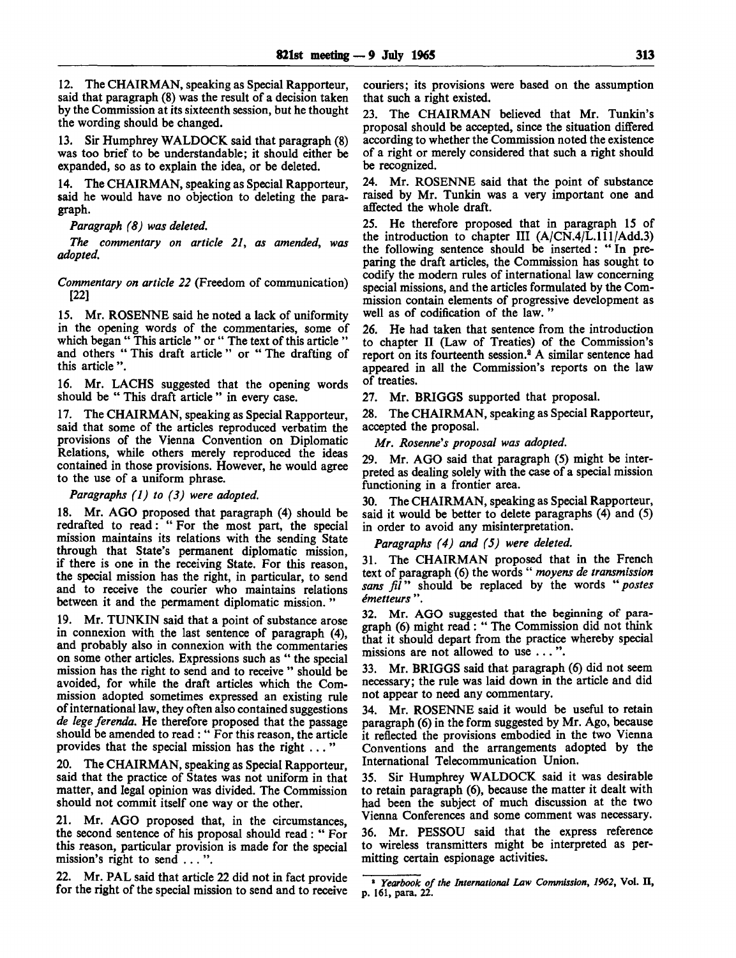12. The CHAIRMAN, speaking as Special Rapporteur, said that paragraph (8) was the result of a decision taken by the Commission at its sixteenth session, but he thought the wording should be changed.

13. Sir Humphrey WALDOCK said that paragraph (8) was too brief to be understandable; it should either be expanded, so as to explain the idea, or be deleted.

14. The CHAIRMAN, speaking as Special Rapporteur, said he would have no objection to deleting the paragraph.

*Paragraph (8) was deleted.*

*The commentary on article 21, as amended, was adopted.*

*Commentary on article 22* (Freedom of communication) [22]

15. Mr. ROSENNE said he noted a lack of uniformity in the opening words of the commentaries, some of which began " This article " or " The text of this article " and others " This draft article " or " The drafting of this article ".

16. Mr. LACHS suggested that the opening words should be " This draft article " in every case.

17. The CHAIRMAN, speaking as Special Rapporteur, said that some of the articles reproduced verbatim the provisions of the Vienna Convention on Diplomatic Relations, while others merely reproduced the ideas contained in those provisions. However, he would agree to the use of a uniform phrase.

*Paragraphs (1) to (3) were adopted.*

18. Mr. AGO proposed that paragraph (4) should be redrafted to read: " For the most part, the special mission maintains its relations with the sending State through that State's permanent diplomatic mission, if there is one in the receiving State. For this reason, the special mission has the right, in particular, to send and to receive the courier who maintains relations between it and the permament diplomatic mission."

19. Mr. TUNKIN said that a point of substance arose in connexion with the last sentence of paragraph (4), and probably also in connexion with the commentaries on some other articles. Expressions such as " the special mission has the right to send and to receive " should be avoided, for while the draft articles which the Commission adopted sometimes expressed an existing rule of international law, they often also contained suggestions *de lege ferenda.* He therefore proposed that the passage should be amended to read : " For this reason, the article provides that the special mission has the right ... "

20. The CHAIRMAN, speaking as Special Rapporteur, said that the practice of States was not uniform in that matter, and legal opinion was divided. The Commission should not commit itself one way or the other.

21. Mr. AGO proposed that, in the circumstances, the second sentence of his proposal should read : " For this reason, particular provision is made for the special mission's right to send ...".

22. Mr. PAL said that article 22 did not in fact provide for the right of the special mission to send and to receive

couriers; its provisions were based on the assumption that such a right existed.

23. The CHAIRMAN believed that Mr. Tunkin's proposal should be accepted, since the situation differed according to whether the Commission noted the existence of a right or merely considered that such a right should be recognized.

24. Mr. ROSENNE said that the point of substance raised by Mr. Tunkin was a very important one and affected the whole draft.

25. He therefore proposed that in paragraph 15 of the introduction to chapter III (A/CN.4/L.lll/Add.3) the following sentence should be inserted: " In preparing the draft articles, the Commission has sought to codify the modern rules of international law concerning special missions, and the articles formulated by the Commission contain elements of progressive development as well as of codification of the law. "

26. He had taken that sentence from the introduction to chapter II (Law of Treaties) of the Commission's report on its fourteenth session.<sup>2</sup> A similar sentence had appeared in all the Commission's reports on the law of treaties.

27. Mr. BRIGGS supported that proposal.

28. The CHAIRMAN, speaking as Special Rapporteur, accepted the proposal.

*Mr. Rosenne's proposal was adopted.*

29. Mr. AGO said that paragraph (5) might be interpreted as dealing solely with the case of a special mission functioning in a frontier area.

30. The CHAIRMAN, speaking as Special Rapporteur, said it would be better to delete paragraphs (4) and (5) in order to avoid any misinterpretation.

*Paragraphs (4) and (5) were deleted.*

31. The CHAIRMAN proposed that in the French text of paragraph (6) the words " *moyens de transmission sans fil"* should be replaced by the words " *postes imetteurs* ".

32. Mr. AGO suggested that the beginning of paragraph (6) might read : " The Commission did not think that it should depart from the practice whereby special missions are not allowed to use .. . ".

33. Mr. BRIGGS said that paragraph (6) did not seem necessary; the rule was laid down in the article and did not appear to need any commentary.

34. Mr. ROSENNE said it would be useful to retain paragraph (6) in the form suggested by Mr. Ago, because it reflected the provisions embodied in the two Vienna Conventions and the arrangements adopted by the International Telecommunication Union.

35. Sir Humphrey WALDOCK said it was desirable to retain paragraph (6), because the matter it dealt with had been the subject of much discussion at the two Vienna Conferences and some comment was necessary.

36. Mr. PESSOU said that the express reference to wireless transmitters might be interpreted as permitting certain espionage activities.

<sup>2</sup>  *Yearbook of the International Law Commission, 1962,* Vol. II, p. 161, para. 22.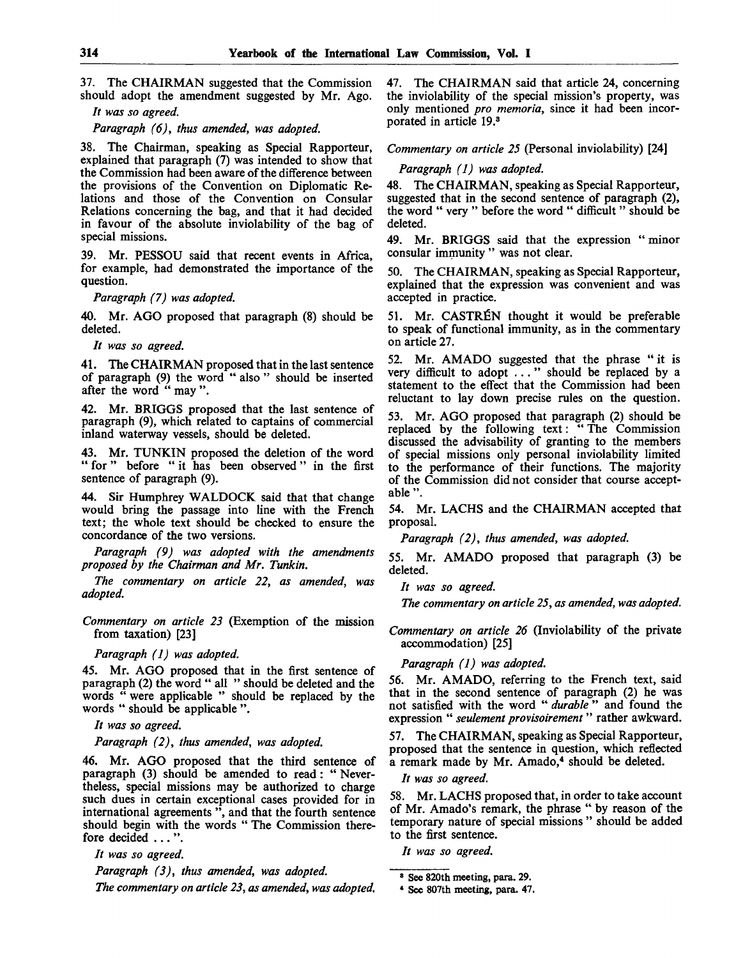37. The CHAIRMAN suggested that the Commission should adopt the amendment suggested by Mr. Ago.

*It was so agreed.*

*Paragraph (6), thus amended, was adopted.*

38. The Chairman, speaking as Special Rapporteur, explained that paragraph (7) was intended to show that the Commission had been aware of the difference between the provisions of the Convention on Diplomatic Relations and those of the Convention on Consular Relations concerning the bag, and that it had decided in favour of the absolute inviolability of the bag of special missions.

39. Mr. PESSOU said that recent events in Africa, for example, had demonstrated the importance of the question.

*Paragraph (7) was adopted.*

40. Mr. AGO proposed that paragraph (8) should be deleted.

// *was so agreed.*

41. The CHAIRMAN proposed that in the last sentence of paragraph (9) the word " also " should be inserted after the word " may ".

42. Mr. BRIGGS proposed that the last sentence of paragraph (9), which related to captains of commercial inland waterway vessels, should be deleted.

43. Mr. TUNKIN proposed the deletion of the word " for " before " it has been observed " in the first sentence of paragraph (9).

44. Sir Humphrey WALDOCK said that that change would bring the passage into line with the French text; the whole text should be checked to ensure the concordance of the two versions.

*Paragraph (9) was adopted with the amendments proposed by the Chairman and Mr. Tunkin.*

*The commentary on article 22, as amended, was adopted.*

*Commentary on article 23* (Exemption of the mission from taxation) [23]

*Paragraph (1) was adopted.*

45. Mr. AGO proposed that in the first sentence of paragraph (2) the word " all " should be deleted and the words " were applicable " should be replaced by the words " should be applicable ".

*It was so agreed.*

*Paragraph (2), thus amended, was adopted.*

46. Mr. AGO proposed that the third sentence of paragraph (3) should be amended to read: " Nevertheless, special missions may be authorized to charge such dues in certain exceptional cases provided for in international agreements ", and that the fourth sentence should begin with the words " The Commission therefore decided .. . ".

*It was so agreed.*

*Paragraph (3), thus amended, was adopted.*

*The commentary on article 23, as amended, was adopted.*

47. The CHAIRMAN said that article 24, concerning the inviolability of the special mission's property, was only mentioned *pro memoria,* since it had been incorporated in article 19.<sup>3</sup>

*Commentary on article 25* (Personal inviolability) [24]

#### *Paragraph (1) was adopted.*

48. The CHAIRMAN, speaking as Special Rapporteur, suggested that in the second sentence of paragraph (2), the word " very " before the word " difficult " should be deleted.

49. Mr. BRIGGS said that the expression " minor consular immunity " was not clear.

50. The CHAIRMAN, speaking as Special Rapporteur, explained that the expression was convenient and was accepted in practice.

51. Mr. CASTREN thought it would be preferable to speak of functional immunity, as in the commentary on article 27.

52. Mr. AMADO suggested that the phrase " it is very difficult to adopt ... " should be replaced by a statement to the effect that the Commission had been reluctant to lay down precise rules on the question.

53. Mr. AGO proposed that paragraph (2) should be replaced by the following text: "The Commission discussed the advisability of granting to the members of special missions only personal inviolability limited to the performance of their functions. The majority of the Commission did not consider that course acceptable ".

54. Mr. LACHS and the CHAIRMAN accepted that proposal.

*Paragraph (2), thus amended, was adopted.*

55. Mr. AMADO proposed that paragraph (3) be deleted.

*It was so agreed.*

*The commentary on article 25, as amended, was adopted.*

*Commentary on article 26* (Inviolability of the private accommodation) [25]

*Paragraph (1) was adopted.*

56. Mr. AMADO, referring to the French text, said that in the second sentence of paragraph (2) he was not satisfied with the word " *durable* " and found the expression " *seulement provisoirement* " rather awkward.

57. The CHAIRMAN, speaking as Special Rapporteur, proposed that the sentence in question, which reflected a remark made by Mr. Amado,<sup>4</sup> should be deleted.

*It was so agreed.*

58. Mr. LACHS proposed that, in order to take account of Mr. Amado's remark, the phrase " by reason of the temporary nature of special missions " should be added to the first sentence.

*It was so agreed.*

<sup>8</sup> See 820th meeting, para. 29.

<sup>\*</sup> See 807th meeting, para. 47.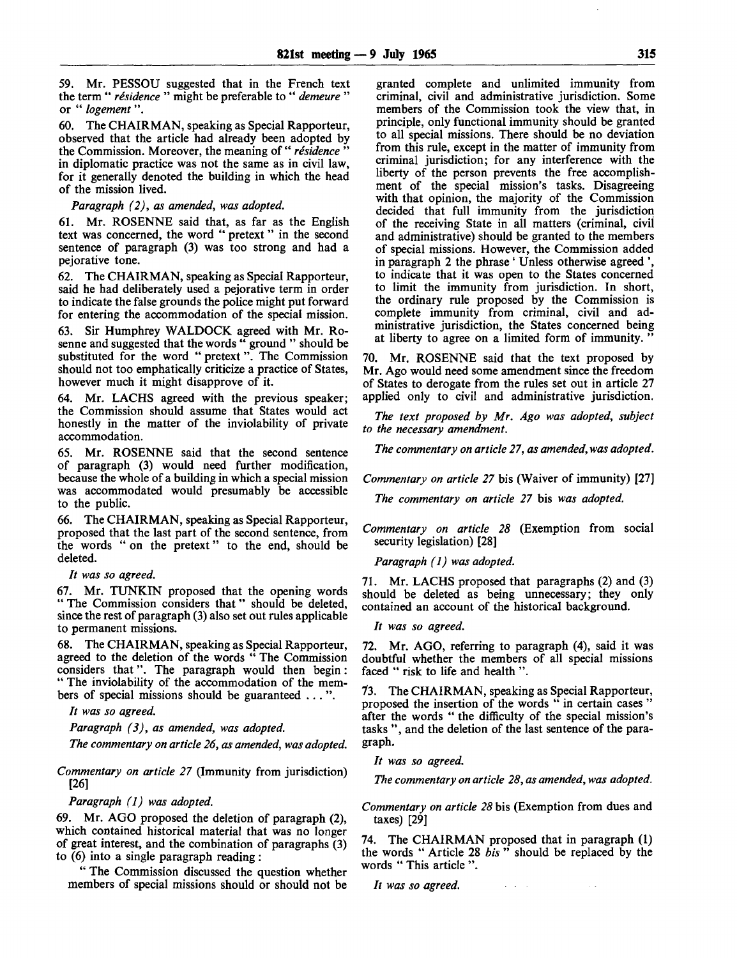59. Mr. PESSOU suggested that in the French text the term " *residence* " might be preferable to " *demeure* " or " *logement*".

60. The CHAIRMAN, speaking as Special Rapporteur, observed that the article had already been adopted by the Commission. Moreover, the meaning of "*résidence*" in diplomatic practice was not the same as in civil law, for it generally denoted the building in which the head of the mission lived.

#### *Paragraph (2), as amended, was adopted.*

61. Mr. ROSENNE said that, as far as the English text was concerned, the word " pretext" in the second sentence of paragraph (3) was too strong and had a pejorative tone.

62. The CHAIRMAN, speaking as Special Rapporteur, said he had deliberately used a pejorative term in order to indicate the false grounds the police might put forward for entering the accommodation of the special mission.

Sir Humphrey WALDOCK agreed with Mr. Rosenne and suggested that the words " ground " should be substituted for the word " pretext". The Commission should not too emphatically criticize a practice of States, however much it might disapprove of it.

64. Mr. LACHS agreed with the previous speaker; the Commission should assume that States would act honestly in the matter of the inviolability of private accommodation.

65. Mr. ROSENNE said that the second sentence of paragraph (3) would need further modification, because the whole of a building in which a special mission was accommodated would presumably be accessible to the public.

66. The CHAIRMAN, speaking as Special Rapporteur, proposed that the last part of the second sentence, from the words " on the pretext" to the end, should be deleted.

#### *It was so agreed.*

67. Mr. TUNKIN proposed that the opening words " The Commission considers that " should be deleted, since the rest of paragraph (3) also set out rules applicable to permanent missions.

68. The CHAIRMAN, speaking as Special Rapporteur, agreed to the deletion of the words " The Commission considers that". The paragraph would then begin: " The inviolability of the accommodation of the members of special missions should be guaranteed .. . ".

*It was so agreed.*

*Paragraph (3), as amended, was adopted.*

*The commentary on article 26, as amended, was adopted.*

*Commentary on article 27* (Immunity from jurisdiction) [26]

*Paragraph (1) was adopted.*

69. Mr. AGO proposed the deletion of paragraph (2), which contained historical material that was no longer of great interest, and the combination of paragraphs (3) to (6) into a single paragraph reading :

" The Commission discussed the question whether members of special missions should or should not be

granted complete and unlimited immunity from criminal, civil and administrative jurisdiction. Some members of the Commission took the view that, in principle, only functional immunity should be granted to all special missions. There should be no deviation from this rule, except in the matter of immunity from criminal jurisdiction; for any interference with the liberty of the person prevents the free accomplishment of the special mission's tasks. Disagreeing with that opinion, the majority of the Commission decided that full immunity from the jurisdiction of the receiving State in all matters (criminal, civil and administrative) should be granted to the members of special missions. However, the Commission added in paragraph 2 the phrase ' Unless otherwise agreed ' to indicate that it was open to the States concerned to limit the immunity from jurisdiction. In short, the ordinary rule proposed by the Commission is complete immunity from criminal, civil and administrative jurisdiction, the States concerned being at liberty to agree on a limited form of immunity. "

70. Mr. ROSENNE said that the text proposed by Mr. Ago would need some amendment since the freedom of States to derogate from the rules set out in article 27 applied only to civil and administrative jurisdiction.

*The text proposed by Mr. Ago was adopted, subject to the necessary amendment.*

*The commentary on article 27, as amended, was adopted.*

*Commentary on article 27* bis (Waiver of immunity) [27]

*The commentary on article 27* bis *was adopted.*

*Commentary on article 28* (Exemption from social security legislation) [28]

*Paragraph (1) was adopted.*

71. Mr. LACHS proposed that paragraphs (2) and (3) should be deleted as being unnecessary; they only contained an account of the historical background.

// *was so agreed.*

72. Mr. AGO, referring to paragraph (4), said it was doubtful whether the members of all special missions faced " risk to life and health ".

73. The CHAIRMAN, speaking as Special Rapporteur, proposed the insertion of the words " in certain cases " after the words " the difficulty of the special mission's tasks ", and the deletion of the last sentence of the paragraph.

*It was so agreed.*

*The commentary on article 28, as amended, was adopted.*

*Commentary on article 28* bis (Exemption from dues and taxes) [29]

74. The CHAIRMAN proposed that in paragraph (1) the words " Article 28 *bis* " should be replaced by the words " This article ".

*It was so agreed.***Service**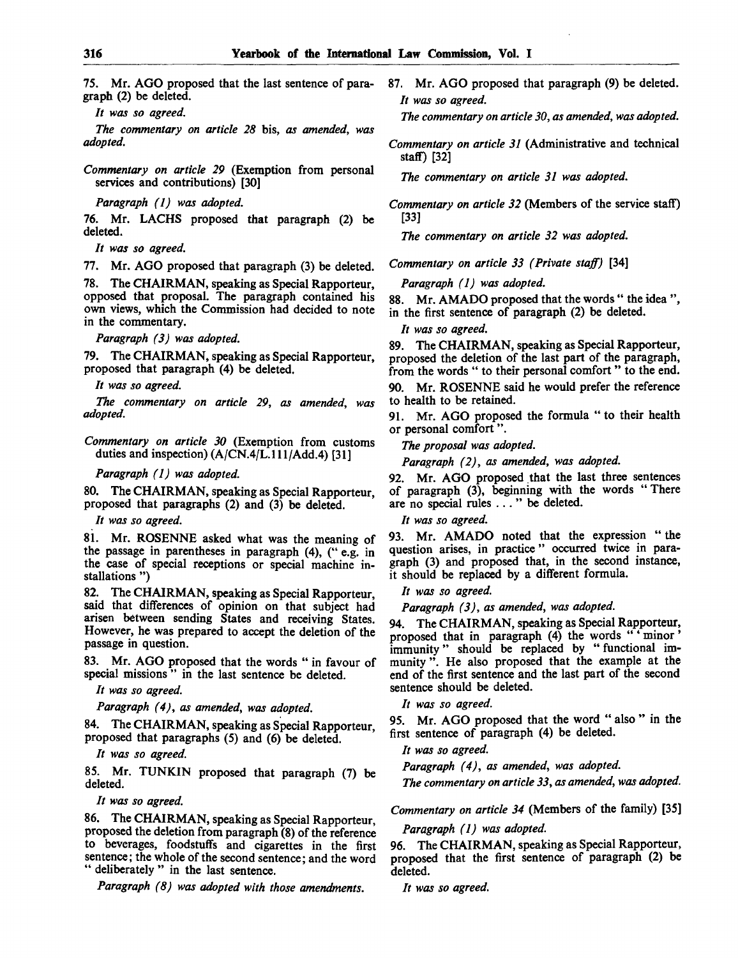75. Mr. AGO proposed that the last sentence of paragraph (2) be deleted.

// *was so agreed.*

*The commentary on article 28* bis, *as amended, was adopted.*

*Commentary on article 29* (Exemption from personal services and contributions) [30]

*Paragraph (1) was adopted.*

76. Mr. LACHS proposed that paragraph (2) be deleted.

*It was so agreed.*

77. Mr. AGO proposed that paragraph (3) be deleted.

78. The CHAIRMAN, speaking as Special Rapporteur, opposed that proposal. The paragraph contained his own views, which the Commission had decided to note in the commentary.

*Paragraph (3) was adopted.*

79. The CHAIRMAN, speaking as Special Rapporteur, proposed that paragraph (4) be deleted.

*It was so agreed.*

*The commentary on article 29, as amended, was adopted.*

*Commentary on article 30* (Exemption from customs duties and inspection) (A/CN.4/L.111/Add.4) [31]

*Paragraph (1) was adopted.*

80. The CHAIRMAN, speaking as Special Rapporteur, proposed that paragraphs (2) and (3) be deleted.

// *was so agreed.*

81. Mr. ROSENNE asked what was the meaning of the passage in parentheses in paragraph (4), (" e.g. in the case of special receptions or special machine installations ")

82. The CHAIRMAN, speaking as Special Rapporteur, said that differences of opinion on that subject had arisen between sending States and receiving States. However, he was prepared to accept the deletion of the passage in question.

83. Mr. AGO proposed that the words " in favour of special missions" in the last sentence be deleted.

*It was so agreed.*

*Paragraph (4), as amended, was adopted.*

84. The CHAIRMAN, speaking as Special Rapporteur, proposed that paragraphs (5) and (6) be deleted.

*It was so agreed.*

85. Mr. TUNKIN proposed that paragraph (7) be deleted.

*It was so agreed.*

86. The CHAIRMAN, speaking as Special Rapporteur, proposed the deletion from paragraph (8) of the reference to beverages, foodstuffs and cigarettes in the first sentence; the whole of the second sentence; and the word " deliberately " in the last sentence.

*Paragraph (8) was adopted with those amendments.*

87. Mr. AGO proposed that paragraph (9) be deleted. *It was so agreed.*

*The commentary on article 30, as amended, was adopted.*

*Commentary on article 31* (Administrative and technical staff) [32]

*The commentary on article 31 was adopted.*

*Commentary on article 32* (Members of the service staff) [33]

*The commentary on article 32 was adopted.*

*Commentary on article 33 (Private staff)* [34]

*Paragraph (1) was adopted.*

88. Mr. AMADO proposed that the words " the idea ", in the first sentence of paragraph (2) be deleted.

*It was so agreed.*

89. The CHAIRMAN, speaking as Special Rapporteur, proposed the deletion of the last part of the paragraph, from the words " to their personal comfort " to the end.

90. Mr. ROSENNE said he would prefer the reference to health to be retained.

91. Mr. AGO proposed the formula " to their health or personal comfort".

*The proposal was adopted.*

*Paragraph (2), as amended, was adopted.*

92. Mr. AGO proposed that the last three sentences of paragraph (3), beginning with the words "There are no special rules ... " be deleted.

*It was so agreed.*

93. Mr. AMADO noted that the expression " the question arises, in practice" occurred twice in paragraph (3) and proposed that, in the second instance, it should be replaced by a different formula.

*It was so agreed.*

*Paragraph (3), as amended, was adopted.*

94. The CHAIRMAN, speaking as Special Rapporteur, proposed that in paragraph  $(4)$  the words " minor immunity" should be replaced by "functional immunity". He also proposed that the example at the end of the first sentence and the last part of the second sentence should be deleted.

*It was so agreed.*

95. Mr. AGO proposed that the word " also " in the first sentence of paragraph (4) be deleted.

*It was so agreed.*

*Paragraph (4), as amended, was adopted.*

*The commentary on article 33, as amended, was adopted.*

*Commentary on article 34* (Members of the family) [35]

*Paragraph (1) was adopted.*

96. The CHAIRMAN, speaking as Special Rapporteur, proposed that the first sentence of paragraph (2) be deleted.

*It was so agreed.*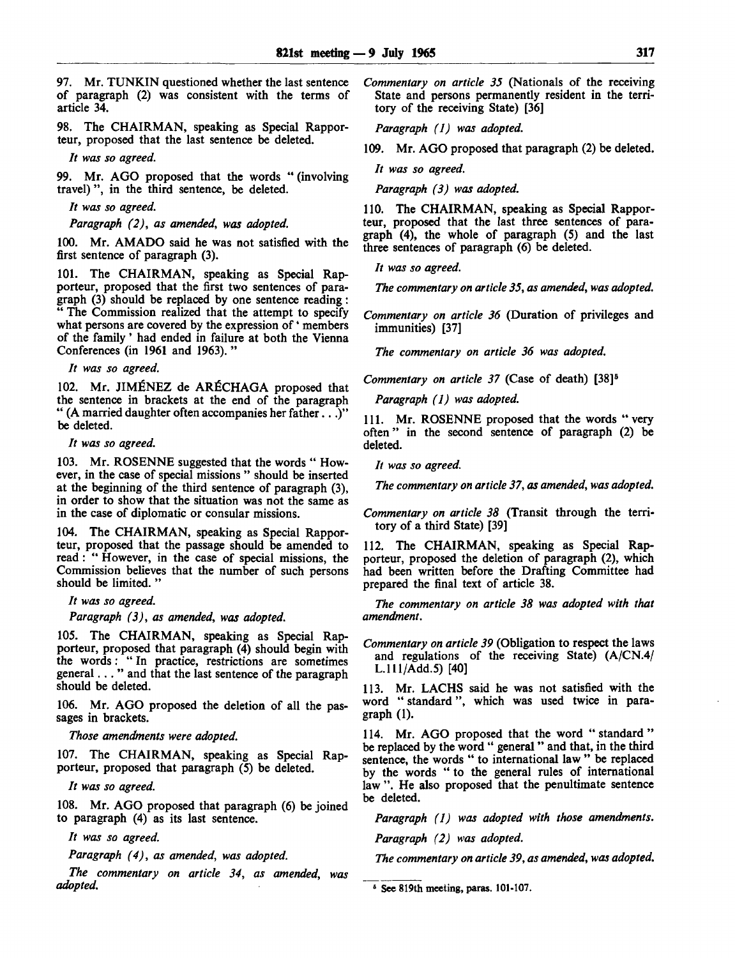97. Mr. TUNKIN questioned whether the last sentence of paragraph (2) was consistent with the terms of article 34.

98. The CHAIRMAN, speaking as Special Rapporteur, proposed that the last sentence be deleted.

*It was so agreed.*

99. Mr. AGO proposed that the words " (involving travel)", in the third sentence, be deleted.

*It was so agreed.*

*Paragraph (2), as amended, was adopted.*

100. Mr. AMADO said he was not satisfied with the first sentence of paragraph (3).

101. The CHAIRMAN, speaking as Special Rapporteur, proposed that the first two sentences of paragraph (3) should be replaced by one sentence reading: " The Commission realized that the attempt to specify what persons are covered by the expression of 'members of the family' had ended in failure at both the Vienna Conferences (in 1961 and 1963). "

// *was so agreed.*

102. Mr. JIMÉNEZ de ARÉCHAGA proposed that the sentence in brackets at the end of the paragraph " (A married daughter often accompanies her father...)" be deleted.

*It was so agreed.*

103. Mr. ROSENNE suggested that the words " However, in the case of special missions " should be inserted at the beginning of the third sentence of paragraph (3), in order to show that the situation was not the same as in the case of diplomatic or consular missions.

104. The CHAIRMAN, speaking as Special Rapporteur, proposed that the passage should be amended to read: " However, in the case of special missions, the Commission believes that the number of such persons should be limited. "

*It was so agreed.*

*Paragraph (3), as amended, was adopted.*

105. The CHAIRMAN, speaking as Special Rapporteur, proposed that paragraph (4) should begin with the words: " In practice, restrictions are sometimes general... " and that the last sentence of the paragraph should be deleted.

106. Mr. AGO proposed the deletion of all the passages in brackets.

*Those amendments were adopted.*

107. The CHAIRMAN, speaking as Special Rapporteur, proposed that paragraph (5) be deleted.

// *was so agreed.*

108. Mr. AGO proposed that paragraph (6) be joined to paragraph (4) as its last sentence.

// *was so agreed.*

*Paragraph (4), as amended, was adopted.*

*The commentary on article 34, as amended, was adopted.*

*Commentary on article 35* (Nationals of the receiving State and persons permanently resident in the territory of the receiving State) [36]

*Paragraph (1) was adopted.*

109. Mr. AGO proposed that paragraph (2) be deleted.

*It was so agreed.*

*Paragraph (3) was adopted.*

110. The CHAIRMAN, speaking as Special Rapporteur, proposed that the last three sentences of paragraph (4), the whole of paragraph (5) and the last three sentences of paragraph (6) be deleted.

*It was so agreed.*

*The commentary on article 35, as amended, was adopted.*

*Commentary on article 36* (Duration of privileges and immunities) [37]

*The commentary on article 36 was adopted.*

*Commentary on article 37* (Case of death) [38]<sup>5</sup>

*Paragraph (1) was adopted.*

111. Mr. ROSENNE proposed that the words " very often" in the second sentence of paragraph (2) be deleted.

*It was so agreed.*

*The commentary on article 37, as amended, was adopted.*

*Commentary on article 38* (Transit through the territory of a third State) [39]

112. The CHAIRMAN, speaking as Special Rapporteur, proposed the deletion of paragraph (2), which had been written before the Drafting Committee had prepared the final text of article 38.

*The commentary on article 38 was adopted with that amendment.*

*Commentary on article 39* (Obligation to respect the laws and regulations of the receiving State) (A/CN.4/ L.lll/Add.5) [40]

113. Mr. LACHS said he was not satisfied with the word " standard", which was used twice in paragraph (1).

114. Mr. AGO proposed that the word " standard " be replaced by the word " general " and that, in the third sentence, the words " to international law " be replaced by the words " to the general rules of international law ". He also proposed that the penultimate sentence be deleted.

*Paragraph (1) was adopted with those amendments.*

*Paragraph (2) was adopted.*

*The commentary on article 39, as amended, was adopted.*

**6 See 819th meeting, paras. 101-107.**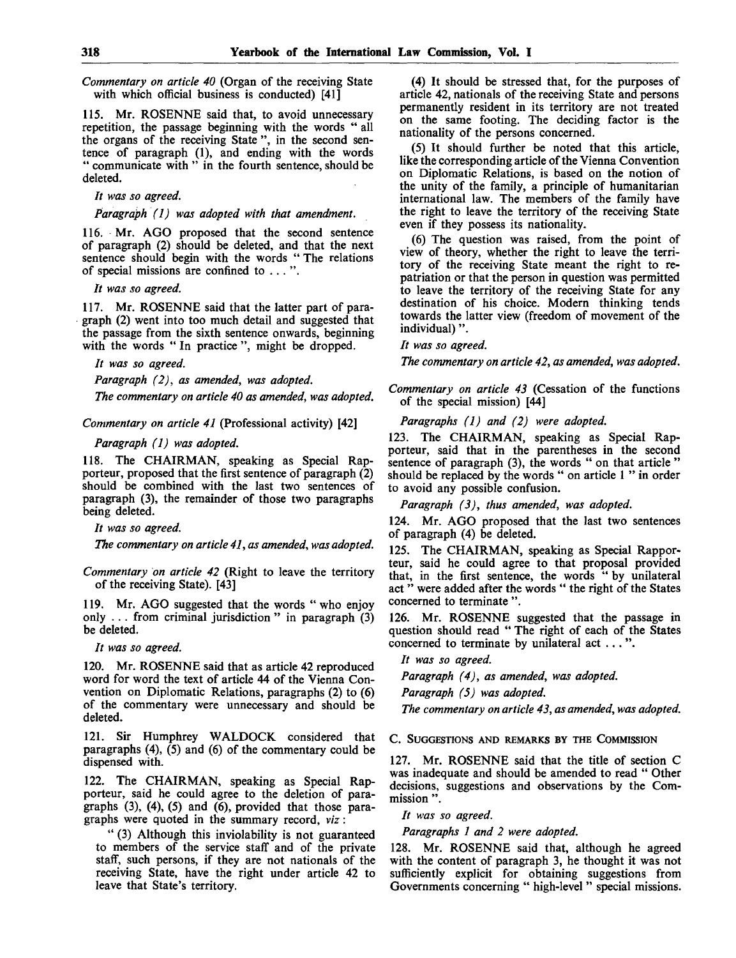*Commentary on article 40* (Organ of the receiving State with which official business is conducted) [41]

115. Mr. ROSENNE said that, to avoid unnecessary repetition, the passage beginning with the words " all the organs of the receiving State ", in the second sentence of paragraph (1), and ending with the words " communicate with " in the fourth sentence, should be deleted.

*It was so agreed.*

*Paragraph (1) was adopted with that amendment.*

116. Mr. AGO proposed that the second sentence of paragraph (2) should be deleted, and that the next sentence should begin with the words " The relations of special missions are confined to . . . ".

*It was so agreed.*

117. Mr. ROSENNE said that the latter part of paragraph (2) went into too much detail and suggested that the passage from the sixth sentence onwards, beginning with the words " In practice", might be dropped.

*It was so agreed.*

*Paragraph (2), as amended, was adopted.*

*The commentary on article 40 as amended, was adopted.*

*Commentary on article 41* (Professional activity) [42]

*Paragraph (1) was adopted.*

118. The CHAIRMAN, speaking as Special Rapporteur, proposed that the first sentence of paragraph (2) should be combined with the last two sentences of paragraph (3), the remainder of those two paragraphs being deleted.

*It was so agreed.*

*The commentary on article 41, as amended, was adopted.*

*Commentary on article 42* (Right to leave the territory of the receiving State). [43]

119. Mr. AGO suggested that the words " who enjoy only  $\ldots$  from criminal jurisdiction " in paragraph  $(3)$ be deleted.

*It was so agreed.*

120. Mr. ROSENNE said that as article 42 reproduced word for word the text of article 44 of the Vienna Convention on Diplomatic Relations, paragraphs (2) to (6) of the commentary were unnecessary and should be deleted.

121. Sir Humphrey WALDOCK considered that paragraphs (4), (5) and (6) of the commentary could be dispensed with.

122. The CHAIRMAN, speaking as Special Rapporteur, said he could agree to the deletion of paragraphs  $(3)$ ,  $(4)$ ,  $(5)$  and  $(6)$ , provided that those paragraphs were quoted in the summary record, *viz*:

" (3) Although this inviolability is not guaranteed to members of the service staff and of the private staff, such persons, if they are not nationals of the receiving State, have the right under article 42 to leave that State's territory.

(4) It should be stressed that, for the purposes of article 42, nationals of the receiving State and persons permanently resident in its territory are not treated on the same footing. The deciding factor is the nationality of the persons concerned.

(5) It should further be noted that this article, like the corresponding article of the Vienna Convention on Diplomatic Relations, is based on the notion of the unity of the family, a principle of humanitarian international law. The members of the family have the right to leave the territory of the receiving State even if they possess its nationality.

(6) The question was raised, from the point of view of theory, whether the right to leave the territory of the receiving State meant the right to repatriation or that the person in question was permitted to leave the territory of the receiving State for any destination of his choice. Modern thinking tends towards the latter view (freedom of movement of the individual)".

// *was so agreed.*

*The commentary on article 42, as amended, was adopted.*

*Commentary on article 43* (Cessation of the functions of the special mission) [44]

*Paragraphs (1) and (2) were adopted.*

123. The CHAIRMAN, speaking as Special Rapporteur, said that in the parentheses in the second sentence of paragraph (3), the words " on that article " should be replaced by the words " on article 1 " in order to avoid any possible confusion.

*Paragraph (3), thus amended, was adopted.*

124. Mr. AGO proposed that the last two sentences of paragraph (4) be deleted.

125. The CHAIRMAN, speaking as Special Rapporteur, said he could agree to that proposal provided that, in the first sentence, the words " by unilateral act " were added after the words " the right of the States concerned to terminate ".

126. Mr. ROSENNE suggested that the passage in question should read " The right of each of the States concerned to terminate by unilateral act .. . ".

*It was so agreed.*

*Paragraph (4), as amended, was adopted.*

*Paragraph (5) was adopted.*

*The commentary on article 43, as amended, was adopted.*

C. SUGGESTIONS AND REMARKS BY THE COMMISSION

127. Mr. ROSENNE said that the title of section C was inadequate and should be amended to read " Other decisions, suggestions and observations by the Commission ".

*It was so agreed.*

*Paragraphs 1 and 2 were adopted.*

128. Mr. ROSENNE said that, although he agreed with the content of paragraph 3, he thought it was not sufficiently explicit for obtaining suggestions from Governments concerning " high-level " special missions.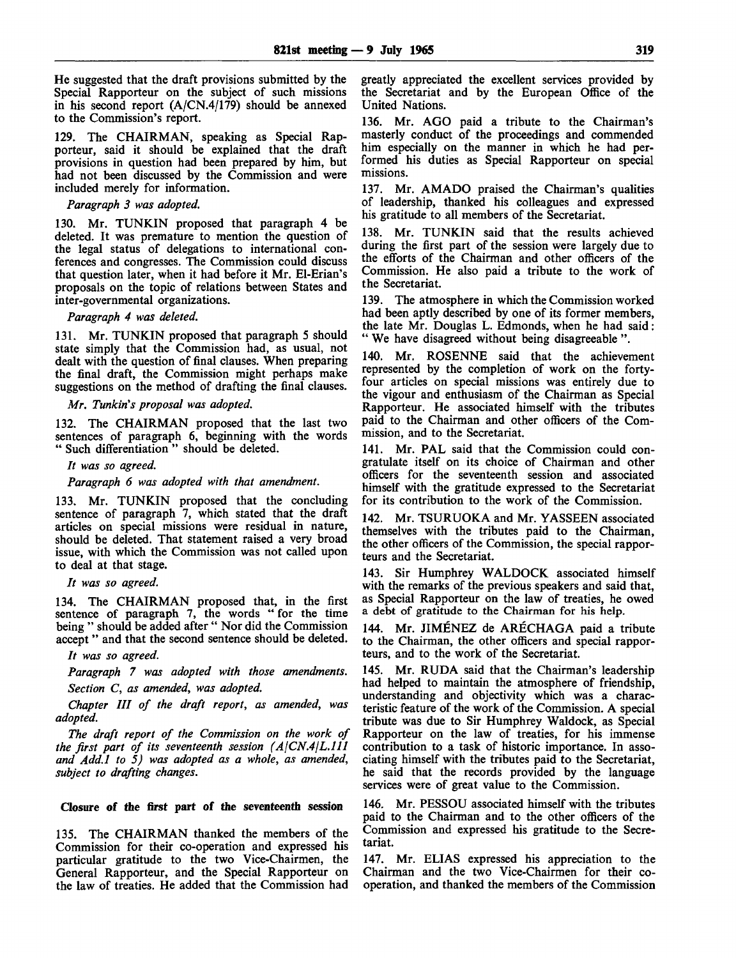He suggested that the draft provisions submitted by the Special Rapporteur on the subject of such missions in his second report (A/CN.4/179) should be annexed to the Commission's report.

129. The CHAIRMAN, speaking as Special Rapporteur, said it should be explained that the draft provisions in question had been prepared by him, but had not been discussed by the Commission and were included merely for information.

#### *Paragraph 3 was adopted.*

130. Mr. TUNKIN proposed that paragraph 4 be deleted. It was premature to mention the question of the legal status of delegations to international conferences and congresses. The Commission could discuss that question later, when it had before it Mr. El-Erian's proposals on the topic of relations between States and inter-governmental organizations.

#### *Paragraph 4 was deleted.*

131. Mr. TUNKIN proposed that paragraph 5 should state simply that the Commission had, as usual, not dealt with the question of final clauses. When preparing the final draft, the Commission might perhaps make suggestions on the method of drafting the final clauses.

### *Mr. Tunkin's proposal was adopted.*

132. The CHAIRMAN proposed that the last two sentences of paragraph 6, beginning with the words " Such differentiation " should be deleted.

// *was so agreed.*

*Paragraph 6 was adopted with that amendment.*

133. Mr. TUNKIN proposed that the concluding sentence of paragraph 7, which stated that the draft articles on special missions were residual in nature, should be deleted. That statement raised a very broad issue, with which the Commission was not called upon to deal at that stage.

*It was so agreed.*

134. The CHAIRMAN proposed that, in the first sentence of paragraph 7, the words " for the time being " should be added after " Nor did the Commission accept " and that the second sentence should be deleted.

*It was so agreed.*

*Paragraph 7 was adopted with those amendments. Section C, as amended, was adopted.*

*Chapter III of the draft report, as amended, was adopted.*

*The draft report of the Commission on the work of the first part of its seventeenth session (AlCN.4jL.lll and Add.l to 5) was adopted as a whole, as amended, subject to drafting changes.*

#### Closure of the first part of the seventeenth session

135. The CHAIRMAN thanked the members of the Commission for their co-operation and expressed his particular gratitude to the two Vice-Chairmen, the General Rapporteur, and the Special Rapporteur on the law of treaties. He added that the Commission had

greatly appreciated the excellent services provided by the Secretariat and by the European Office of the United Nations.

136. Mr. AGO paid a tribute to the Chairman's masterly conduct of the proceedings and commended him especially on the manner in which he had performed his duties as Special Rapporteur on special missions.

137. Mr. AMADO praised the Chairman's qualities of leadership, thanked his colleagues and expressed his gratitude to all members of the Secretariat.

138. Mr. TUNKIN said that the results achieved during the first part of the session were largely due to the efforts of the Chairman and other officers of the Commission. He also paid a tribute to the work of the Secretariat.

139. The atmosphere in which the Commission worked had been aptly described by one of its former members, the late Mr. Douglas L. Edmonds, when he had said: " We have disagreed without being disagreeable ".

140. Mr. ROSENNE said that the achievement represented by the completion of work on the fortyfour articles on special missions was entirely due to the vigour and enthusiasm of the Chairman as Special Rapporteur. He associated himself with the tributes paid to the Chairman and other officers of the Commission, and to the Secretariat.

141. Mr. PAL said that the Commission could congratulate itself on its choice of Chairman and other officers for the seventeenth session and associated himself with the gratitude expressed to the Secretariat for its contribution to the work of the Commission.

142. Mr. TSURUOKA and Mr. YASSEEN associated themselves with the tributes paid to the Chairman, the other officers of the Commission, the special rapporteurs and the Secretariat.

143. Sir Humphrey WALDOCK associated himself with the remarks of the previous speakers and said that, as Special Rapporteur on the law of treaties, he owed a debt of gratitude to the Chairman for his help.

144. Mr. JIMENEZ de ARECHAGA paid a tribute to the Chairman, the other officers and special rapporteurs, and to the work of the Secretariat.

145. Mr. RUDA said that the Chairman's leadership had helped to maintain the atmosphere of friendship, understanding and objectivity which was a characteristic feature of the work of the Commission. A special tribute was due to Sir Humphrey Waldock, as Special Rapporteur on the law of treaties, for his immense contribution to a task of historic importance. In associating himself with the tributes paid to the Secretariat, he said that the records provided by the language services were of great value to the Commission.

146. Mr. PESSOU associated himself with the tributes paid to the Chairman and to the other officers of the Commission and expressed his gratitude to the Secretariat.

147. Mr. ELIAS expressed his appreciation to the Chairman and the two Vice-Chairmen for their cooperation, and thanked the members of the Commission